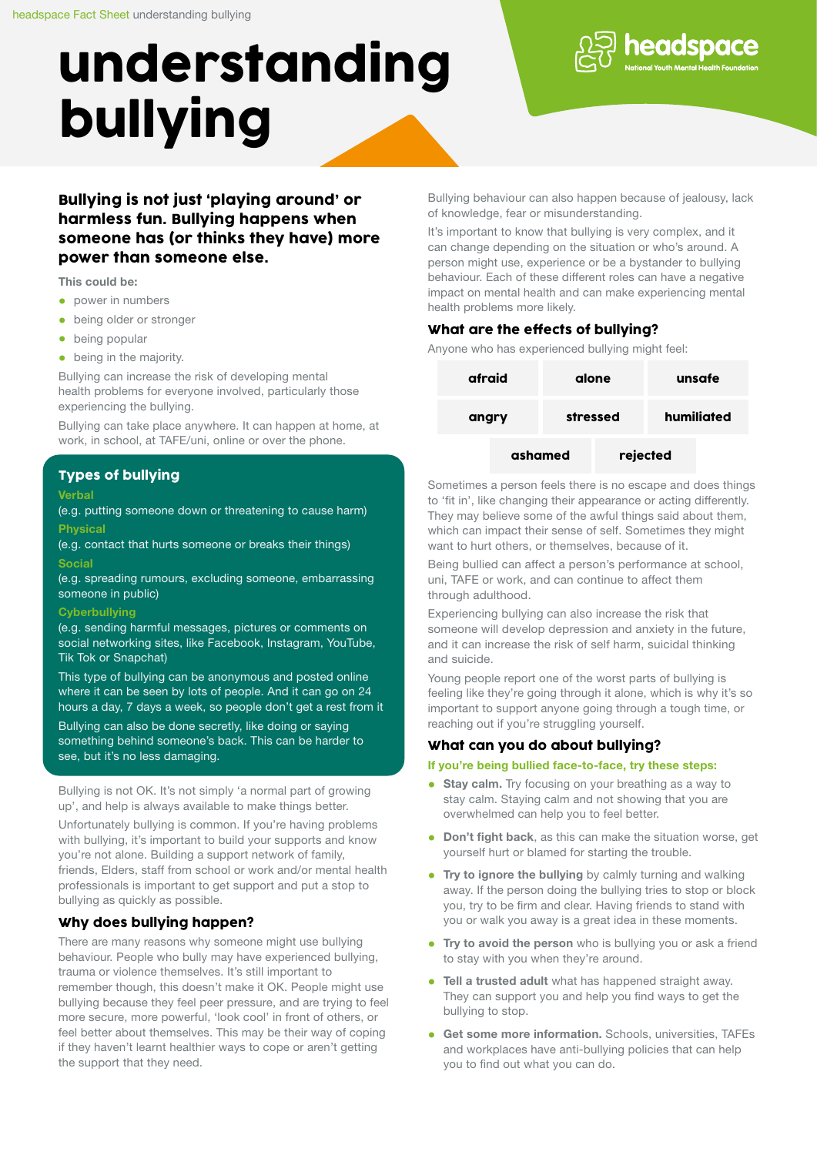# understanding bullying



Bullying is not just 'playing around' or harmless fun. Bullying happens when someone has (or thinks they have) more power than someone else.

This could be:

- power in numbers
- being older or stronger
- being popular
- being in the majority.

Bullying can increase the risk of developing mental health problems for everyone involved, particularly those experiencing the bullying.

Bullying can take place anywhere. It can happen at home, at work, in school, at TAFE/uni, online or over the phone.

### Types of bullying

#### **Verbal**

(e.g. putting someone down or threatening to cause harm) Physical

(e.g. contact that hurts someone or breaks their things)

#### Social

(e.g. spreading rumours, excluding someone, embarrassing someone in public)

#### **Cyberbullving**

(e.g. sending harmful messages, pictures or comments on social networking sites, like Facebook, Instagram, YouTube, Tik Tok or Snapchat)

This type of bullying can be anonymous and posted online where it can be seen by lots of people. And it can go on 24 hours a day, 7 days a week, so people don't get a rest from it

Bullying can also be done secretly, like doing or saying something behind someone's back. This can be harder to see, but it's no less damaging.

Bullying is not OK. It's not simply 'a normal part of growing up', and help is always available to make things better.

Unfortunately bullying is common. If you're having problems with bullying, it's important to build your supports and know you're not alone. Building a support network of family, friends, Elders, staff from school or work and/or mental health professionals is important to get support and put a stop to bullying as quickly as possible.

#### Why does bullying happen?

There are many reasons why someone might use bullying behaviour. People who bully may have experienced bullying, trauma or violence themselves. It's still important to remember though, this doesn't make it OK. People might use bullying because they feel peer pressure, and are trying to feel more secure, more powerful, 'look cool' in front of others, or feel better about themselves. This may be their way of coping if they haven't learnt healthier ways to cope or aren't getting the support that they need.

Bullying behaviour can also happen because of jealousy, lack of knowledge, fear or misunderstanding.

It's important to know that bullying is very complex, and it can change depending on the situation or who's around. A person might use, experience or be a bystander to bullying behaviour. Each of these different roles can have a negative impact on mental health and can make experiencing mental health problems more likely.

### What are the effects of bullying?

Anyone who has experienced bullying might feel:

| afraid |         | alone    |          | unsafe     |  |
|--------|---------|----------|----------|------------|--|
| angry  |         | stressed |          | humiliated |  |
|        | ashamed |          | rejected |            |  |

Sometimes a person feels there is no escape and does things to 'fit in', like changing their appearance or acting differently. They may believe some of the awful things said about them, which can impact their sense of self. Sometimes they might want to hurt others, or themselves, because of it.

Being bullied can affect a person's performance at school, uni, TAFE or work, and can continue to affect them through adulthood.

Experiencing bullying can also increase the risk that someone will develop depression and anxiety in the future, and it can increase the risk of self harm, suicidal thinking and suicide.

Young people report one of the worst parts of bullying is feeling like they're going through it alone, which is why it's so important to support anyone going through a tough time, or reaching out if you're struggling yourself.

#### What can you do about bullying?

#### If you're being bullied face-to-face, try these steps:

- Stay calm. Try focusing on your breathing as a way to stay calm. Staying calm and not showing that you are overwhelmed can help you to feel better.
- Don't fight back, as this can make the situation worse, get yourself hurt or blamed for starting the trouble.
- Try to ignore the bullying by calmly turning and walking away. If the person doing the bullying tries to stop or block you, try to be firm and clear. Having friends to stand with you or walk you away is a great idea in these moments.
- Try to avoid the person who is bullying you or ask a friend to stay with you when they're around.
- Tell a trusted adult what has happened straight away. They can support you and help you find ways to get the bullying to stop.
- Get some more information. Schools, universities, TAFEs and workplaces have anti-bullying policies that can help you to find out what you can do.